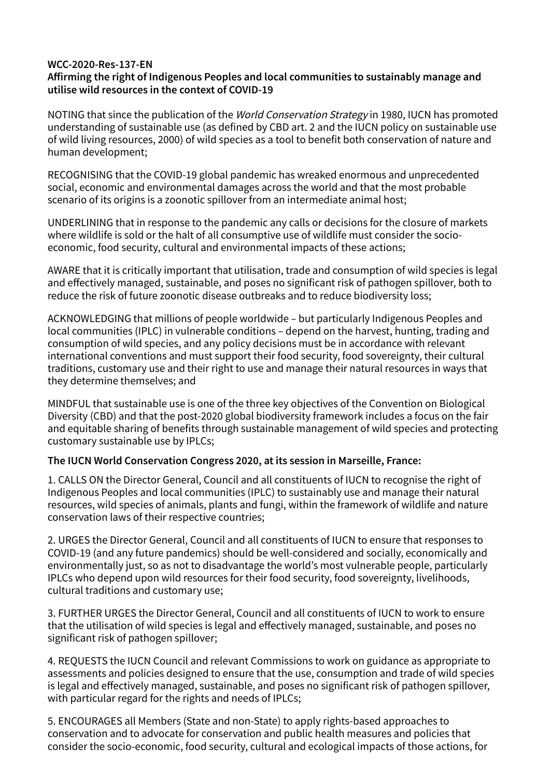## **WCC-2020-Res-137-EN Affirming the right of Indigenous Peoples and local communities to sustainably manage and utilise wild resources in the context of COVID-19**

NOTING that since the publication of the World Conservation Strategy in 1980, IUCN has promoted understanding of sustainable use (as defined by CBD art. 2 and the IUCN policy on sustainable use of wild living resources, 2000) of wild species as a tool to benefit both conservation of nature and human development;

RECOGNISING that the COVID-19 global pandemic has wreaked enormous and unprecedented social, economic and environmental damages across the world and that the most probable scenario of its origins is a zoonotic spillover from an intermediate animal host;

UNDERLINING that in response to the pandemic any calls or decisions for the closure of markets where wildlife is sold or the halt of all consumptive use of wildlife must consider the socioeconomic, food security, cultural and environmental impacts of these actions;

AWARE that it is critically important that utilisation, trade and consumption of wild species is legal and effectively managed, sustainable, and poses no significant risk of pathogen spillover, both to reduce the risk of future zoonotic disease outbreaks and to reduce biodiversity loss;

ACKNOWLEDGING that millions of people worldwide – but particularly Indigenous Peoples and local communities (IPLC) in vulnerable conditions – depend on the harvest, hunting, trading and consumption of wild species, and any policy decisions must be in accordance with relevant international conventions and must support their food security, food sovereignty, their cultural traditions, customary use and their right to use and manage their natural resources in ways that they determine themselves; and

MINDFUL that sustainable use is one of the three key objectives of the Convention on Biological Diversity (CBD) and that the post-2020 global biodiversity framework includes a focus on the fair and equitable sharing of benefits through sustainable management of wild species and protecting customary sustainable use by IPLCs;

## **The IUCN World Conservation Congress 2020, at its session in Marseille, France:**

1. CALLS ON the Director General, Council and all constituents of IUCN to recognise the right of Indigenous Peoples and local communities (IPLC) to sustainably use and manage their natural resources, wild species of animals, plants and fungi, within the framework of wildlife and nature conservation laws of their respective countries;

2. URGES the Director General, Council and all constituents of IUCN to ensure that responses to COVID-19 (and any future pandemics) should be well-considered and socially, economically and environmentally just, so as not to disadvantage the world's most vulnerable people, particularly IPLCs who depend upon wild resources for their food security, food sovereignty, livelihoods, cultural traditions and customary use;

3. FURTHER URGES the Director General, Council and all constituents of IUCN to work to ensure that the utilisation of wild species is legal and effectively managed, sustainable, and poses no significant risk of pathogen spillover;

4. REQUESTS the IUCN Council and relevant Commissions to work on guidance as appropriate to assessments and policies designed to ensure that the use, consumption and trade of wild species is legal and effectively managed, sustainable, and poses no significant risk of pathogen spillover, with particular regard for the rights and needs of IPLCs;

5. ENCOURAGES all Members (State and non-State) to apply rights-based approaches to conservation and to advocate for conservation and public health measures and policies that consider the socio-economic, food security, cultural and ecological impacts of those actions, for